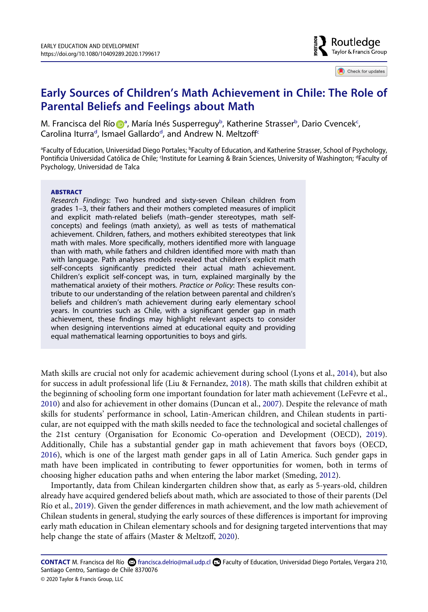Routledae Taylor & Francis Group

Check for updates

# **Early Sources of Children's Math Achievement in Chile: The Role of Parental Beliefs and Feelings about Math**

M. Francisca del Rí[o](http://orcid.org/0000-0002-2050-7963) Dª, M[a](#page-0-0)ría Inés Susperreguy<sup>b</sup>, Katherine Strasser<sup>b</sup>, Dario Cvencek<sup>c</sup>, Carolina Iturra<sup>[d](#page-0-1)</sup>, Ismael Gallardo<sup>d</sup>, and Andrew N. Meltzoff<sup>c</sup>

<span id="page-0-1"></span><span id="page-0-0"></span><sup>a</sup>Faculty of Education, Universidad Diego Portales; <sup>b</sup>Faculty of Education, and Katherine Strasser, School of Psychology, Pontificia Universidad Católica de Chile; ¶nstitute for Learning & Brain Sciences, University of Washington; ªFaculty of Psychology, Universidad de Talca

#### **ABSTRACT**

*Research Findings*: Two hundred and sixty-seven Chilean children from grades 1–3, their fathers and their mothers completed measures of implicit and explicit math-related beliefs (math–gender stereotypes, math selfconcepts) and feelings (math anxiety), as well as tests of mathematical achievement. Children, fathers, and mothers exhibited stereotypes that link math with males. More specifically, mothers identified more with language than with math, while fathers and children identified more with math than with language. Path analyses models revealed that children's explicit math self-concepts significantly predicted their actual math achievement. Children's explicit self-concept was, in turn, explained marginally by the mathematical anxiety of their mothers. *Practice or Policy*: These results contribute to our understanding of the relation between parental and children's beliefs and children's math achievement during early elementary school years. In countries such as Chile, with a significant gender gap in math achievement, these findings may highlight relevant aspects to consider when designing interventions aimed at educational equity and providing equal mathematical learning opportunities to boys and girls.

<span id="page-0-6"></span><span id="page-0-5"></span><span id="page-0-4"></span><span id="page-0-3"></span>Math skills are crucial not only for academic achievement during school (Lyons et al., [2014\)](#page-14-0), but also for success in adult professional life (Liu & Fernandez, [2018](#page-14-1)). The math skills that children exhibit at the beginning of schooling form one important foundation for later math achievement (LeFevre et al., [2010](#page-14-2)) and also for achievement in other domains (Duncan et al., [2007](#page-13-0)). Despite the relevance of math skills for students' performance in school, Latin-American children, and Chilean students in particular, are not equipped with the math skills needed to face the technological and societal challenges of the 21st century (Organisation for Economic Co-operation and Development (OECD), [2019](#page-14-3)). Additionally, Chile has a substantial gender gap in math achievement that favors boys (OECD, [2016](#page-14-4)), which is one of the largest math gender gaps in all of Latin America. Such gender gaps in math have been implicated in contributing to fewer opportunities for women, both in terms of choosing higher education paths and when entering the labor market (Smeding, [2012](#page-14-5)).

<span id="page-0-10"></span><span id="page-0-9"></span><span id="page-0-8"></span><span id="page-0-2"></span>Importantly, data from Chilean kindergarten children show that, as early as 5-years-old, children already have acquired gendered beliefs about math, which are associated to those of their parents (Del Río et al., [2019](#page-13-1)). Given the gender differences in math achievement, and the low math achievement of Chilean students in general, studying the early sources of these differences is important for improving early math education in Chilean elementary schools and for designing targeted interventions that may help change the state of affairs (Master & Meltzoff, [2020](#page-14-6)).

<span id="page-0-7"></span>CONTACT M. Francisca del Río <sup>5</sup> francisca.delrio@mail.udp.cl **D** Faculty of Education, Universidad Diego Portales, Vergara 210, Santiago Centro, Santiago de Chile 8370076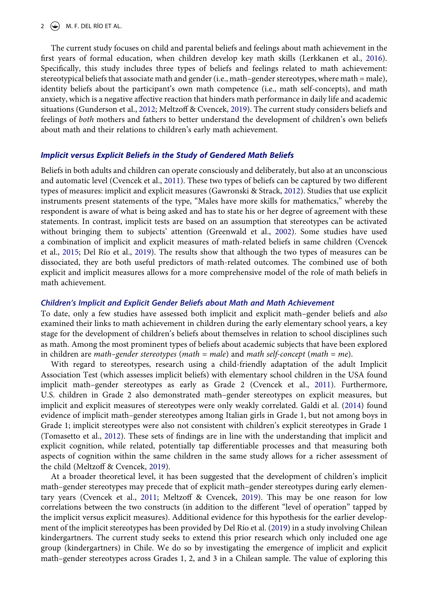#### 2  $\left(\frac{1}{2}\right)$  M. F. DEL RÍO ET AL.

<span id="page-1-6"></span>The current study focuses on child and parental beliefs and feelings about math achievement in the first years of formal education, when children develop key math skills (Lerkkanen et al., [2016](#page-14-7)). Specifically, this study includes three types of beliefs and feelings related to math achievement: stereotypical beliefs that associate math and gender (i.e., math–gender stereotypes, where math = male), identity beliefs about the participant's own math competence (i.e., math self-concepts), and math anxiety, which is a negative affective reaction that hinders math performance in daily life and academic situations (Gunderson et al., [2012;](#page-14-8) Meltzoff & Cvencek, [2019\)](#page-14-9). The current study considers beliefs and feelings of *both* mothers and fathers to better understand the development of children's own beliefs about math and their relations to children's early math achievement.

## <span id="page-1-5"></span>*Implicit versus Explicit Beliefs in the Study of Gendered Math Beliefs*

<span id="page-1-4"></span><span id="page-1-3"></span>Beliefs in both adults and children can operate consciously and deliberately, but also at an unconscious and automatic level (Cvencek et al., [2011](#page-13-2)). These two types of beliefs can be captured by two different types of measures: implicit and explicit measures (Gawronski & Strack, [2012\)](#page-13-3). Studies that use explicit instruments present statements of the type, "Males have more skills for mathematics," whereby the respondent is aware of what is being asked and has to state his or her degree of agreement with these statements. In contrast, implicit tests are based on an assumption that stereotypes can be activated without bringing them to subjects' attention (Greenwald et al., [2002](#page-13-4)). Some studies have used a combination of implicit and explicit measures of math-related beliefs in same children (Cvencek et al., [2015;](#page-13-5) Del Río et al., [2019\)](#page-13-1). The results show that although the two types of measures can be dissociated, they are both useful predictors of math-related outcomes. The combined use of both explicit and implicit measures allows for a more comprehensive model of the role of math beliefs in math achievement.

## <span id="page-1-0"></span>*Children's Implicit and Explicit Gender Beliefs about Math and Math Achievement*

To date, only a few studies have assessed both implicit and explicit math–gender beliefs and *also*  examined their links to math achievement in children during the early elementary school years, a key stage for the development of children's beliefs about themselves in relation to school disciplines such as math. Among the most prominent types of beliefs about academic subjects that have been explored in children are *math–gender stereotypes* (*math = male*) and *math self-concept* (*math* = *me*).

<span id="page-1-2"></span>With regard to stereotypes, research using a child-friendly adaptation of the adult Implicit Association Test (which assesses implicit beliefs) with elementary school children in the USA found implicit math–gender stereotypes as early as Grade 2 (Cvencek et al., [2011\)](#page-13-2). Furthermore, U.S. children in Grade 2 also demonstrated math–gender stereotypes on explicit measures, but implicit and explicit measures of stereotypes were only weakly correlated. Galdi et al. ([2014](#page-13-6)) found evidence of implicit math–gender stereotypes among Italian girls in Grade 1, but not among boys in Grade 1; implicit stereotypes were also not consistent with children's explicit stereotypes in Grade 1 (Tomasetto et al., [2012](#page-15-0)). These sets of findings are in line with the understanding that implicit and explicit cognition, while related, potentially tap differentiable processes and that measuring both aspects of cognition within the same children in the same study allows for a richer assessment of the child (Meltzoff & Cvencek, [2019\)](#page-14-9).

<span id="page-1-7"></span><span id="page-1-1"></span>At a broader theoretical level, it has been suggested that the development of children's implicit math–gender stereotypes may precede that of explicit math–gender stereotypes during early elementary years (Cvencek et al., [2011;](#page-13-2) Meltzoff & Cvencek, [2019\)](#page-14-9). This may be one reason for low correlations between the two constructs (in addition to the different "level of operation" tapped by the implicit versus explicit measures). Additional evidence for this hypothesis for the earlier development of the implicit stereotypes has been provided by Del Río et al. [\(2019\)](#page-13-1) in a study involving Chilean kindergartners. The current study seeks to extend this prior research which only included one age group (kindergartners) in Chile. We do so by investigating the emergence of implicit and explicit math–gender stereotypes across Grades 1, 2, and 3 in a Chilean sample. The value of exploring this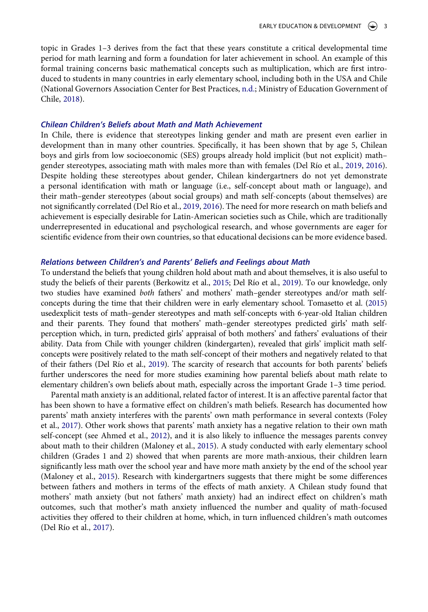topic in Grades 1–3 derives from the fact that these years constitute a critical developmental time period for math learning and form a foundation for later achievement in school. An example of this formal training concerns basic mathematical concepts such as multiplication, which are first introduced to students in many countries in early elementary school, including both in the USA and Chile (National Governors Association Center for Best Practices, [n.d.](#page-14-10); Ministry of Education Government of Chile, [2018\)](#page-14-11).

#### <span id="page-2-6"></span>*Chilean Children's Beliefs about Math and Math Achievement*

In Chile, there is evidence that stereotypes linking gender and math are present even earlier in development than in many other countries. Specifically, it has been shown that by age 5, Chilean boys and girls from low socioeconomic (SES) groups already hold implicit (but not explicit) math– gender stereotypes, associating math with males more than with females (Del Río et al., [2019,](#page-13-1) [2016](#page-13-7)). Despite holding these stereotypes about gender, Chilean kindergartners do not yet demonstrate a personal identification with math or language (i.e., self-concept about math or language), and their math–gender stereotypes (about social groups) and math self-concepts (about themselves) are not significantly correlated (Del Río et al., [2019,](#page-13-1) [2016](#page-13-7)). The need for more research on math beliefs and achievement is especially desirable for Latin-American societies such as Chile, which are traditionally underrepresented in educational and psychological research, and whose governments are eager for scientific evidence from their own countries, so that educational decisions can be more evidence based.

## <span id="page-2-2"></span>*Relations between Children's and Parents' Beliefs and Feelings about Math*

<span id="page-2-7"></span><span id="page-2-1"></span>To understand the beliefs that young children hold about math and about themselves, it is also useful to study the beliefs of their parents (Berkowitz et al., [2015](#page-13-8); Del Río et al., [2019](#page-13-1)). To our knowledge, only two studies have examined *both* fathers' and mothers' math–gender stereotypes and/or math selfconcepts during the time that their children were in early elementary school. Tomasetto et al. ([2015\)](#page-15-1) usedexplicit tests of math–gender stereotypes and math self-concepts with 6-year-old Italian children and their parents. They found that mothers' math–gender stereotypes predicted girls' math selfperception which, in turn, predicted girls' appraisal of both mothers' and fathers' evaluations of their ability. Data from Chile with younger children (kindergarten), revealed that girls' implicit math selfconcepts were positively related to the math self-concept of their mothers and negatively related to that of their fathers (Del Río et al., [2019\)](#page-13-1). The scarcity of research that accounts for both parents' beliefs further underscores the need for more studies examining how parental beliefs about math relate to elementary children's own beliefs about math, especially across the important Grade 1–3 time period.

<span id="page-2-5"></span><span id="page-2-4"></span><span id="page-2-3"></span><span id="page-2-0"></span>Parental math anxiety is an additional, related factor of interest. It is an affective parental factor that has been shown to have a formative effect on children's math beliefs. Research has documented how parents' math anxiety interferes with the parents' own math performance in several contexts (Foley et al., [2017\)](#page-13-9). Other work shows that parents' math anxiety has a negative relation to their own math self-concept (see Ahmed et al., [2012\)](#page-13-10), and it is also likely to influence the messages parents convey about math to their children (Maloney et al., [2015\)](#page-14-12). A study conducted with early elementary school children (Grades 1 and 2) showed that when parents are more math-anxious, their children learn significantly less math over the school year and have more math anxiety by the end of the school year (Maloney et al., [2015](#page-14-12)). Research with kindergartners suggests that there might be some differences between fathers and mothers in terms of the effects of math anxiety. A Chilean study found that mothers' math anxiety (but not fathers' math anxiety) had an indirect effect on children's math outcomes, such that mother's math anxiety influenced the number and quality of math-focused activities they offered to their children at home, which, in turn influenced children's math outcomes (Del Río et al., [2017\)](#page-13-11).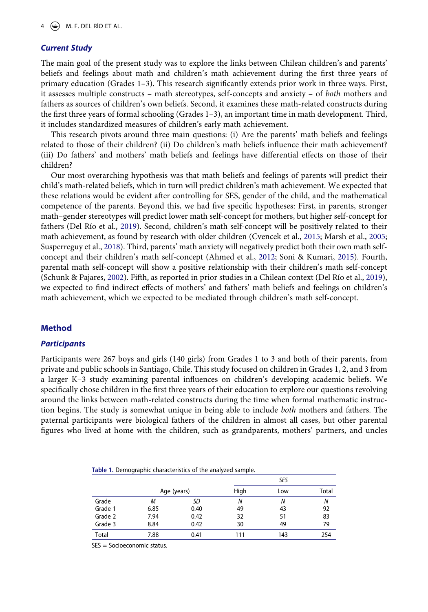## *Current Study*

The main goal of the present study was to explore the links between Chilean children's and parents' beliefs and feelings about math and children's math achievement during the first three years of primary education (Grades 1–3). This research significantly extends prior work in three ways. First, it assesses multiple constructs – math stereotypes, self-concepts and anxiety – of *both* mothers and fathers as sources of children's own beliefs. Second, it examines these math-related constructs during the first three years of formal schooling (Grades 1–3), an important time in math development. Third, it includes standardized measures of children's early math achievement.

This research pivots around three main questions: (i) Are the parents' math beliefs and feelings related to those of their children? (ii) Do children's math beliefs influence their math achievement? (iii) Do fathers' and mothers' math beliefs and feelings have differential effects on those of their children?

<span id="page-3-4"></span><span id="page-3-1"></span>Our most overarching hypothesis was that math beliefs and feelings of parents will predict their child's math-related beliefs, which in turn will predict children's math achievement. We expected that these relations would be evident after controlling for SES, gender of the child, and the mathematical competence of the parents. Beyond this, we had five specific hypotheses: First, in parents, stronger math–gender stereotypes will predict lower math self-concept for mothers, but higher self-concept for fathers (Del Río et al., [2019\)](#page-13-1). Second, children's math self-concept will be positively related to their math achievement, as found by research with older children (Cvencek et al., [2015;](#page-13-5) Marsh et al., [2005;](#page-14-13) Susperreguy et al., [2018\)](#page-15-2). Third, parents' math anxiety will negatively predict both their own math selfconcept and their children's math self-concept (Ahmed et al., [2012;](#page-13-10) Soni & Kumari, [2015\)](#page-15-3). Fourth, parental math self-concept will show a positive relationship with their children's math self-concept (Schunk & Pajares, [2002\)](#page-14-14). Fifth, as reported in prior studies in a Chilean context (Del Río et al., [2019](#page-13-1)), we expected to find indirect effects of mothers' and fathers' math beliefs and feelings on children's math achievement, which we expected to be mediated through children's math self-concept.

## <span id="page-3-3"></span><span id="page-3-2"></span>**Method**

## *Participants*

Participants were 267 boys and girls (140 girls) from Grades 1 to 3 and both of their parents, from private and public schools in Santiago, Chile. This study focused on children in Grades 1, 2, and 3 from a larger K–3 study examining parental influences on children's developing academic beliefs. We specifically chose children in the first three years of their education to explore our questions revolving around the links between math-related constructs during the time when formal mathematic instruction begins. The study is somewhat unique in being able to include *both* mothers and fathers. The paternal participants were biological fathers of the children in almost all cases, but other parental figures who lived at home with the children, such as grandparents, mothers' partners, and uncles

<span id="page-3-0"></span>**Table 1.** Demographic characteristics of the analyzed sample.

|         |      |             |      | SES |       |
|---------|------|-------------|------|-----|-------|
|         |      | Age (years) | High | Low | Total |
| Grade   | М    | SD          | N    | N   | N     |
| Grade 1 | 6.85 | 0.40        | 49   | 43  | 92    |
| Grade 2 | 7.94 | 0.42        | 32   | 51  | 83    |
| Grade 3 | 8.84 | 0.42        | 30   | 49  | 79    |
| Total   | 7.88 | 0.41        | 111  | 143 | 254   |

SES = Socioeconomic status.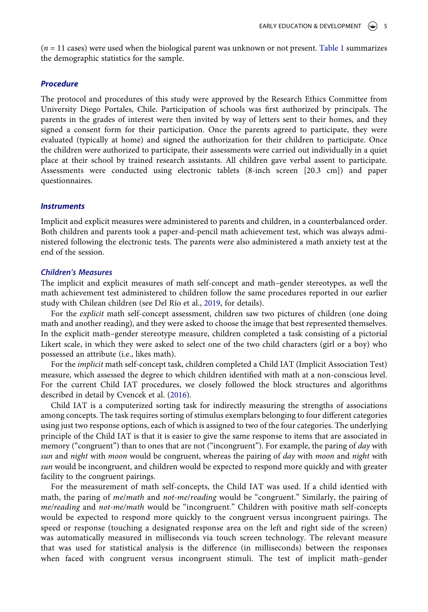(*n* = 11 cases) were used when the biological parent was unknown or not present. [Table 1](#page-3-0) summarizes the demographic statistics for the sample.

## *Procedure*

The protocol and procedures of this study were approved by the Research Ethics Committee from University Diego Portales, Chile. Participation of schools was first authorized by principals. The parents in the grades of interest were then invited by way of letters sent to their homes, and they signed a consent form for their participation. Once the parents agreed to participate, they were evaluated (typically at home) and signed the authorization for their children to participate. Once the children were authorized to participate, their assessments were carried out individually in a quiet place at their school by trained research assistants. All children gave verbal assent to participate. Assessments were conducted using electronic tablets (8-inch screen [20.3 cm]) and paper questionnaires.

#### *Instruments*

Implicit and explicit measures were administered to parents and children, in a counterbalanced order. Both children and parents took a paper-and-pencil math achievement test, which was always administered following the electronic tests. The parents were also administered a math anxiety test at the end of the session.

#### *Children's Measures*

The implicit and explicit measures of math self-concept and math–gender stereotypes, as well the math achievement test administered to children follow the same procedures reported in our earlier study with Chilean children (see Del Río et al., [2019,](#page-13-1) for details).

For the *explicit* math self-concept assessment, children saw two pictures of children (one doing math and another reading), and they were asked to choose the image that best represented themselves. In the explicit math–gender stereotype measure, children completed a task consisting of a pictorial Likert scale, in which they were asked to select one of the two child characters (girl or a boy) who possessed an attribute (i.e., likes math).

For the *implicit* math self-concept task, children completed a Child IAT (Implicit Association Test) measure, which assessed the degree to which children identified with math at a non-conscious level. For the current Child IAT procedures, we closely followed the block structures and algorithms described in detail by Cvencek et al. [\(2016\)](#page-13-12).

<span id="page-4-0"></span>Child IAT is a computerized sorting task for indirectly measuring the strengths of associations among concepts. The task requires sorting of stimulus exemplars belonging to four different categories using just two response options, each of which is assigned to two of the four categories. The underlying principle of the Child IAT is that it is easier to give the same response to items that are associated in memory ("congruent") than to ones that are not ("incongruent"). For example, the paring of *day* with *sun* and *night* with *moon* would be congruent, whereas the pairing of *day* with *moon* and *night* with *sun* would be incongruent, and children would be expected to respond more quickly and with greater facility to the congruent pairings.

For the measurement of math self-concepts, the Child IAT was used. If a child identied with math, the paring of *me*/*math* and *not-me*/*reading* would be "congruent." Similarly, the pairing of *me/reading* and *not-me/math* would be "incongruent." Children with positive math self-concepts would be expected to respond more quickly to the congruent versus incongruent pairings. The speed or response (touching a designated response area on the left and right side of the screen) was automatically measured in milliseconds via touch screen technology. The relevant measure that was used for statistical analysis is the difference (in milliseconds) between the responses when faced with congruent versus incongruent stimuli. The test of implicit math–gender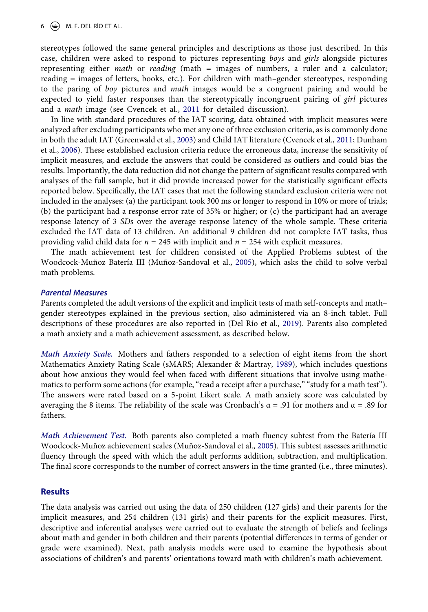6  $\leftrightarrow$  M. F. DEL RÍO ET AL.

stereotypes followed the same general principles and descriptions as those just described. In this case, children were asked to respond to pictures representing *boys* and *girls* alongside pictures representing either *math* or *reading* (math = images of numbers, a ruler and a calculator; reading = images of letters, books, etc.). For children with math–gender stereotypes, responding to the paring of *boy* pictures and *math* images would be a congruent pairing and would be expected to yield faster responses than the stereotypically incongruent pairing of *girl* pictures and a *math* image (see Cvencek et al., [2011](#page-13-2) for detailed discussion).

<span id="page-5-2"></span><span id="page-5-1"></span>In line with standard procedures of the IAT scoring, data obtained with implicit measures were analyzed after excluding participants who met any one of three exclusion criteria, as is commonly done in both the adult IAT (Greenwald et al., [2003](#page-14-15)) and Child IAT literature (Cvencek et al., [2011](#page-13-2); Dunham et al., [2006](#page-13-13)). These established exclusion criteria reduce the erroneous data, increase the sensitivity of implicit measures, and exclude the answers that could be considered as outliers and could bias the results. Importantly, the data reduction did not change the pattern of significant results compared with analyses of the full sample, but it did provide increased power for the statistically significant effects reported below. Specifically, the IAT cases that met the following standard exclusion criteria were not included in the analyses: (a) the participant took 300 ms or longer to respond in 10% or more of trials; (b) the participant had a response error rate of 35% or higher; or (c) the participant had an average response latency of 3 *SD*s over the average response latency of the whole sample. These criteria excluded the IAT data of 13 children. An additional 9 children did not complete IAT tasks, thus providing valid child data for *n* = 245 with implicit and *n* = 254 with explicit measures.

The math achievement test for children consisted of the Applied Problems subtest of the Woodcock-Muñoz Batería III (Muñoz-Sandoval et al., [2005\)](#page-14-16), which asks the child to solve verbal math problems.

## *Parental Measures*

Parents completed the adult versions of the explicit and implicit tests of math self-concepts and math– gender stereotypes explained in the previous section, also administered via an 8-inch tablet. Full descriptions of these procedures are also reported in (Del Río et al., [2019\)](#page-13-1). Parents also completed a math anxiety and a math achievement assessment, as described below.

<span id="page-5-0"></span>*Math Anxiety Scale.* Mothers and fathers responded to a selection of eight items from the short Mathematics Anxiety Rating Scale (sMARS; Alexander & Martray, [1989](#page-13-14)), which includes questions about how anxious they would feel when faced with different situations that involve using mathematics to perform some actions (for example, "read a receipt after a purchase," "study for a math test"). The answers were rated based on a 5-point Likert scale. A math anxiety score was calculated by averaging the 8 items. The reliability of the scale was Cronbach's  $\alpha = .91$  for mothers and  $\alpha = .89$  for fathers.

<span id="page-5-3"></span>*Math Achievement Test.* Both parents also completed a math fluency subtest from the Batería III Woodcock-Muñoz achievement scales (Muñoz-Sandoval et al., [2005](#page-14-16)). This subtest assesses arithmetic fluency through the speed with which the adult performs addition, subtraction, and multiplication. The final score corresponds to the number of correct answers in the time granted (i.e., three minutes).

## **Results**

The data analysis was carried out using the data of 250 children (127 girls) and their parents for the implicit measures, and 254 children (131 girls) and their parents for the explicit measures. First, descriptive and inferential analyses were carried out to evaluate the strength of beliefs and feelings about math and gender in both children and their parents (potential differences in terms of gender or grade were examined). Next, path analysis models were used to examine the hypothesis about associations of children's and parents' orientations toward math with children's math achievement.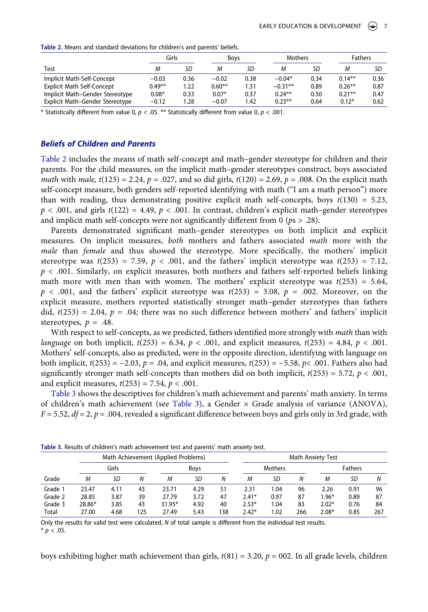<span id="page-6-0"></span>**Table 2.** Means and standard deviations for children's and parents' beliefs.

|                                   | Girls    |      | <b>Boys</b> |      | <b>Mothers</b> |      | <b>Fathers</b> |      |
|-----------------------------------|----------|------|-------------|------|----------------|------|----------------|------|
| Test                              | М        | SD   | М           | SD   | М              | SD   | М              | SD   |
| Implicit Math-Self-Concept        | $-0.03$  | 0.36 | $-0.02$     | 0.38 | $-0.04*$       | 0.34 | $0.14***$      | 0.36 |
| <b>Explicit Math Self-Concept</b> | $0.49**$ | 1.22 | $0.60**$    | 1.31 | $-0.31**$      | 0.89 | $0.26***$      | 0.87 |
| Implicit Math-Gender Stereotype   | $0.08*$  | 0.33 | $0.07*$     | 0.37 | $0.24***$      | 0.50 | $0.21***$      | 0.47 |
| Explicit Math-Gender Stereotype   | $-0.12$  | 1.28 | $-0.07$     | 1.42 | $0.23***$      | 0.64 | $0.12*$        | 0.62 |

\* Statistically different from value 0, *p* < .05. \*\* Statistically different from value 0, *p* < .001.

## *Beliefs of Children and Parents*

[Table 2](#page-6-0) includes the means of math self-concept and math–gender stereotype for children and their parents. For the child measures, on the implicit math–gender stereotypes construct, boys associated *math* with *male,*  $t(123) = 2.24$ ,  $p = .027$ , and so did girls,  $t(120) = 2.69$ ,  $p = .008$ . On the explicit math self-concept measure, both genders self-reported identifying with math ("I am a math person") more than with reading, thus demonstrating positive explicit math self-concepts, boys  $t(130) = 5.23$ ,  $p < .001$ , and girls  $t(122) = 4.49$ ,  $p < .001$ . In contrast, children's explicit math–gender stereotypes and implicit math self-concepts were not significantly different from 0 (*p*s > .28).

Parents demonstrated significant math–gender stereotypes on both implicit and explicit measures. On implicit measures, *both* mothers and fathers associated *math* more with the *male* than *female* and thus showed the stereotype. More specifically, the mothers' implicit stereotype was  $t(253) = 7.59$ ,  $p < .001$ , and the fathers' implicit stereotype was  $t(253) = 7.12$ , *p* < .001. Similarly, on explicit measures, both mothers and fathers self-reported beliefs linking math more with men than with women. The mothers' explicit stereotype was  $t(253) = 5.64$ ,  $p < .001$ , and the fathers' explicit stereotype was  $t(253) = 3.08$ ,  $p = .002$ . Moreover, on the explicit measure, mothers reported statistically stronger math–gender stereotypes than fathers did,  $t(253) = 2.04$ ,  $p = .04$ ; there was no such difference between mothers' and fathers' implicit stereotypes,  $p = .48$ .

With respect to self-concepts, as we predicted, fathers identified more strongly with *math* than with *language* on both implicit, *t*(253) = 6.34, *p* < .001, and explicit measures, *t*(253) = 4.84, *p* < .001. Mothers' self-concepts, also as predicted, were in the opposite direction, identifying with language on both implicit, *t*(253) = −2.03, *p* = .04, and explicit measures, *t*(253) = −5.58, *p*< .001. Fathers also had significantly stronger math self-concepts than mothers did on both implicit,  $t(253) = 5.72$ ,  $p < .001$ , and explicit measures,  $t(253) = 7.54$ ,  $p < .001$ .

[Table 3](#page-6-1) shows the descriptives for children's math achievement and parents' math anxiety. In terms of children's math achievement (see [Table 3](#page-6-1)), a Gender  $\times$  Grade analysis of variance (ANOVA),  $F = 5.52$ ,  $df = 2$ ,  $p = .004$ , revealed a significant difference between boys and girls only in 3rd grade, with

|         |        |       |     | Math Achievement (Applied Problems) |             |     |         |                |     | Math Anxiety Test |                |     |
|---------|--------|-------|-----|-------------------------------------|-------------|-----|---------|----------------|-----|-------------------|----------------|-----|
|         |        | Girls |     |                                     | <b>Boys</b> |     |         | <b>Mothers</b> |     |                   | <b>Fathers</b> |     |
| Grade   | М      | SD    | Ν   | М                                   | SD          | N   | М       | SD             | N   | М                 | SD             | Ν   |
| Grade 1 | 23.47  | 4.11  | 43  | 23.71                               | 4.29        | 51  | 2.31    | 1.04           | 96  | 2.26              | 0.91           | 96  |
| Grade 2 | 28.85  | 3.87  | 39  | 27.79                               | 3.72        | 47  | $2.41*$ | 0.97           | 87  | $1.96*$           | 0.89           | 87  |
| Grade 3 | 28.86* | 3.85  | 43  | 31.95*                              | 4.92        | 40  | $2.53*$ | 1.04           | 83  | $2.02*$           | 0.76           | 84  |
| Total   | 27.00  | 4.68  | 125 | 27.49                               | 5.43        | 138 | $2.42*$ | 1.02           | 266 | $2.08*$           | 0.85           | 267 |

<span id="page-6-1"></span>**Table 3.** Results of children's math achievement test and parents' math anxiety test.

Only the results for valid test were calculated, *N* of total sample is different from the individual test results.  $* p < .05.$ 

boys exhibiting higher math achievement than girls, *t*(81) = 3.20, *p* = 002. In all grade levels, children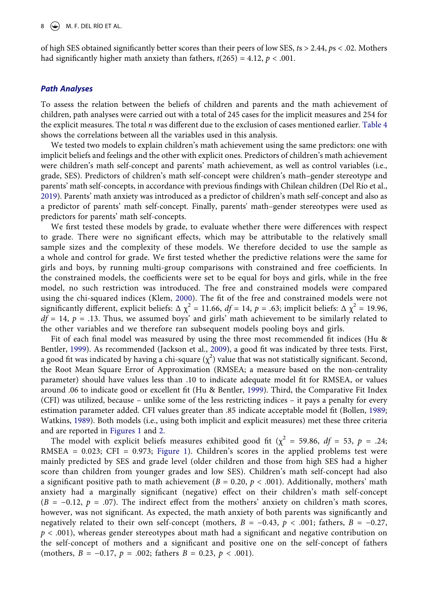of high SES obtained significantly better scores than their peers of low SES, *t*s > 2.44, *p*s < .02. Mothers had significantly higher math anxiety than fathers,  $t(265) = 4.12$ ,  $p < .001$ .

#### *Path Analyses*

To assess the relation between the beliefs of children and parents and the math achievement of children, path analyses were carried out with a total of 245 cases for the implicit measures and 254 for the explicit measures. The total *n* was different due to the exclusion of cases mentioned earlier. [Table 4](#page-8-0) shows the correlations between all the variables used in this analysis.

We tested two models to explain children's math achievement using the same predictors: one with implicit beliefs and feelings and the other with explicit ones. Predictors of children's math achievement were children's math self-concept and parents' math achievement, as well as control variables (i.e., grade, SES). Predictors of children's math self-concept were children's math–gender stereotype and parents' math self-concepts, in accordance with previous findings with Chilean children (Del Río et al., [2019](#page-13-1)). Parents' math anxiety was introduced as a predictor of children's math self-concept and also as a predictor of parents' math self-concept. Finally, parents' math–gender stereotypes were used as predictors for parents' math self-concepts.

We first tested these models by grade, to evaluate whether there were differences with respect to grade. There were no significant effects, which may be attributable to the relatively small sample sizes and the complexity of these models. We therefore decided to use the sample as a whole and control for grade. We first tested whether the predictive relations were the same for girls and boys, by running multi-group comparisons with constrained and free coefficients. In the constrained models, the coefficients were set to be equal for boys and girls, while in the free model, no such restriction was introduced. The free and constrained models were compared using the chi-squared indices (Klem, [2000](#page-14-17)). The fit of the free and constrained models were not significantly different, explicit beliefs:  $\Delta \chi^2 = 11.66$ ,  $df = 14$ ,  $p = .63$ ; implicit beliefs:  $\Delta \chi^2 = 19.96$ ,  $df = 14$ ,  $p = .13$ . Thus, we assumed boys' and girls' math achievement to be similarly related to the other variables and we therefore ran subsequent models pooling boys and girls.

<span id="page-7-3"></span><span id="page-7-2"></span><span id="page-7-1"></span>Fit of each final model was measured by using the three most recommended fit indices (Hu & Bentler, [1999\)](#page-14-18). As recommended (Jackson et al., [2009\)](#page-14-19), a good fit was indicated by three tests. First, a good fit was indicated by having a chi-square  $(\chi^2)$  value that was not statistically significant. Second, the Root Mean Square Error of Approximation (RMSEA; a measure based on the non-centrality parameter) should have values less than .10 to indicate adequate model fit for RMSEA, or values around .06 to indicate good or excellent fit (Hu & Bentler, [1999](#page-14-18)). Third, the Comparative Fit Index (CFI) was utilized, because – unlike some of the less restricting indices – it pays a penalty for every estimation parameter added. CFI values greater than .85 indicate acceptable model fit (Bollen, [1989;](#page-13-15) Watkins, [1989](#page-15-4)). Both models (i.e., using both implicit and explicit measures) met these three criteria and are reported in [Figures 1](#page-9-0) and [2](#page-9-1).

<span id="page-7-4"></span><span id="page-7-0"></span>The model with explicit beliefs measures exhibited good fit ( $\chi^2$  = 59.86, *df* = 53, *p* = .24; RMSEA = 0.023; CFI = 0.973; [Figure 1](#page-9-0)). Children's scores in the applied problems test were mainly predicted by SES and grade level (older children and those from high SES had a higher score than children from younger grades and low SES). Children's math self-concept had also a significant positive path to math achievement ( $B = 0.20$ ,  $p < .001$ ). Additionally, mothers' math anxiety had a marginally significant (negative) effect on their children's math self-concept (*B* = −0.12, *p* = .07). The indirect effect from the mothers' anxiety on children's math scores, however, was not significant. As expected, the math anxiety of both parents was significantly and negatively related to their own self-concept (mothers,  $B = -0.43$ ,  $p < .001$ ; fathers,  $B = -0.27$ , *p* < .001), whereas gender stereotypes about math had a significant and negative contribution on the self-concept of mothers and a significant and positive one on the self-concept of fathers (mothers, *B* = −0.17, *p* = .002; fathers *B* = 0.23, *p* < .001).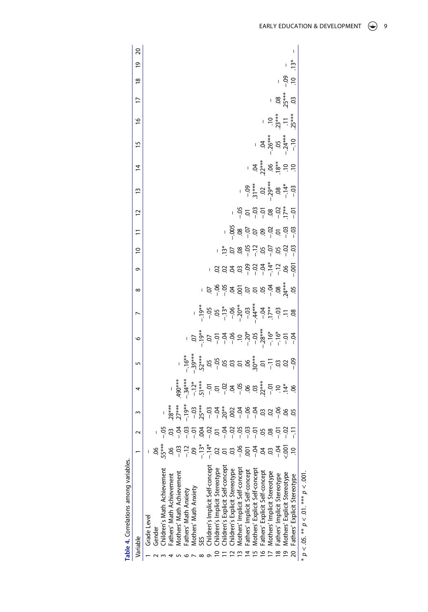<span id="page-8-0"></span>

| Table 4. Correlations among variables |       |            |   |                                                                                                                                                                                                                                                                                                                                                                                                                                                 |                                                                                                                                                                                                                                                                                                           |                                                                                                                                                                                                                                      |                |                                                                                                                                                              |   |                                |                                      |                                    |                                                                              |                                  |                               |                                           |                          |               |                      |  |
|---------------------------------------|-------|------------|---|-------------------------------------------------------------------------------------------------------------------------------------------------------------------------------------------------------------------------------------------------------------------------------------------------------------------------------------------------------------------------------------------------------------------------------------------------|-----------------------------------------------------------------------------------------------------------------------------------------------------------------------------------------------------------------------------------------------------------------------------------------------------------|--------------------------------------------------------------------------------------------------------------------------------------------------------------------------------------------------------------------------------------|----------------|--------------------------------------------------------------------------------------------------------------------------------------------------------------|---|--------------------------------|--------------------------------------|------------------------------------|------------------------------------------------------------------------------|----------------------------------|-------------------------------|-------------------------------------------|--------------------------|---------------|----------------------|--|
| Variable                              |       |            | 3 | 4                                                                                                                                                                                                                                                                                                                                                                                                                                               | 5                                                                                                                                                                                                                                                                                                         | 9                                                                                                                                                                                                                                    |                | $\infty$                                                                                                                                                     | G | $\overline{a}$                 | $\overline{1}$                       | 12                                 | $\tilde{1}$                                                                  | $\overline{4}$                   | 15                            | $\frac{8}{1}$                             | $\overline{1}$           | $\frac{8}{1}$ | $\overline{20}$<br>ഉ |  |
| Grade Level                           |       |            |   |                                                                                                                                                                                                                                                                                                                                                                                                                                                 |                                                                                                                                                                                                                                                                                                           |                                                                                                                                                                                                                                      |                |                                                                                                                                                              |   |                                |                                      |                                    |                                                                              |                                  |                               |                                           |                          |               |                      |  |
| Gender                                |       |            |   |                                                                                                                                                                                                                                                                                                                                                                                                                                                 |                                                                                                                                                                                                                                                                                                           |                                                                                                                                                                                                                                      |                |                                                                                                                                                              |   |                                |                                      |                                    |                                                                              |                                  |                               |                                           |                          |               |                      |  |
| Inildren's Math Achievement           | 55*** |            |   |                                                                                                                                                                                                                                                                                                                                                                                                                                                 |                                                                                                                                                                                                                                                                                                           |                                                                                                                                                                                                                                      |                |                                                                                                                                                              |   |                                |                                      |                                    |                                                                              |                                  |                               |                                           |                          |               |                      |  |
| athers' Math Achievement              |       |            |   |                                                                                                                                                                                                                                                                                                                                                                                                                                                 |                                                                                                                                                                                                                                                                                                           |                                                                                                                                                                                                                                      |                |                                                                                                                                                              |   |                                |                                      |                                    |                                                                              |                                  |                               |                                           |                          |               |                      |  |
| Mothers' Math Achievement             |       |            |   |                                                                                                                                                                                                                                                                                                                                                                                                                                                 |                                                                                                                                                                                                                                                                                                           |                                                                                                                                                                                                                                      |                |                                                                                                                                                              |   |                                |                                      |                                    |                                                                              |                                  |                               |                                           |                          |               |                      |  |
| Fathers' Math Anxiety                 |       | ី<br>ខុំ 5 |   |                                                                                                                                                                                                                                                                                                                                                                                                                                                 |                                                                                                                                                                                                                                                                                                           |                                                                                                                                                                                                                                      |                |                                                                                                                                                              |   |                                |                                      |                                    |                                                                              |                                  |                               |                                           |                          |               |                      |  |
| Mothers' Math Anxiety                 |       |            |   |                                                                                                                                                                                                                                                                                                                                                                                                                                                 |                                                                                                                                                                                                                                                                                                           |                                                                                                                                                                                                                                      |                |                                                                                                                                                              |   |                                |                                      |                                    |                                                                              |                                  |                               |                                           |                          |               |                      |  |
| Š                                     |       |            |   |                                                                                                                                                                                                                                                                                                                                                                                                                                                 |                                                                                                                                                                                                                                                                                                           |                                                                                                                                                                                                                                      |                |                                                                                                                                                              |   |                                |                                      |                                    |                                                                              |                                  |                               |                                           |                          |               |                      |  |
| hildren's Implicit Self-concept       |       | $-52$      |   | $\begin{array}{r} \begin{array}{r} * \\ * \\ * \\ * \end{array} \\ \begin{array}{r} \frac{1}{2} \\ 0 \\ \frac{1}{2} \\ \frac{1}{2} \\ \frac{1}{2} \\ \frac{1}{2} \\ \frac{1}{2} \\ \frac{1}{2} \\ \frac{1}{2} \\ \frac{1}{2} \\ \frac{1}{2} \\ \frac{1}{2} \\ \frac{1}{2} \\ \frac{1}{2} \\ \frac{1}{2} \\ \frac{1}{2} \\ \frac{1}{2} \\ \frac{1}{2} \\ \frac{1}{2} \\ \frac{1}{2} \\ \frac{1}{2} \\ \frac{1}{2} \\ \frac{1}{2} \\ \frac{1}{2}$ | $\frac{1}{2}$ , $\frac{1}{2}$ , $\frac{1}{2}$ , $\frac{1}{2}$ , $\frac{1}{2}$ , $\frac{1}{2}$ , $\frac{1}{2}$ , $\frac{1}{2}$ , $\frac{1}{2}$ , $\frac{1}{2}$ , $\frac{1}{2}$ , $\frac{1}{2}$ , $\frac{1}{2}$ , $\frac{1}{2}$ , $\frac{1}{2}$ , $\frac{1}{2}$ , $\frac{1}{2}$ , $\frac{1}{2}$ , $\frac{1$ | 5<br>2010 - 10:00 - 10:00 - 10:00 - 10:00 - 10:00 - 10:00 - 10:00 - 10:00 - 10:00 - 10:00 - 10:00 - 10:00 - 10:00 -<br>10:00 - 10:00 - 10:00 - 10:00 - 10:00 - 10:00 - 10:00 - 10:00 - 10:00 - 10:00 - 10:00 - 10:00 - 10:00 - 10:00 | $-\frac{1}{7}$ |                                                                                                                                                              |   |                                |                                      |                                    |                                                                              |                                  |                               |                                           |                          |               |                      |  |
| hildren's Implicit Stereotype         |       |            |   |                                                                                                                                                                                                                                                                                                                                                                                                                                                 |                                                                                                                                                                                                                                                                                                           |                                                                                                                                                                                                                                      |                | $5.8\frac{2}{3}$ $\frac{2}{3}$ $\frac{2}{3}$ $\frac{2}{3}$ $\frac{2}{3}$ $\frac{2}{3}$ $\frac{2}{3}$ $\frac{2}{3}$ $\frac{2}{3}$ $\frac{2}{3}$ $\frac{2}{3}$ |   |                                |                                      |                                    |                                                                              |                                  |                               |                                           |                          |               |                      |  |
| hildren's Explicit Self-concept       |       |            |   |                                                                                                                                                                                                                                                                                                                                                                                                                                                 |                                                                                                                                                                                                                                                                                                           |                                                                                                                                                                                                                                      |                |                                                                                                                                                              |   |                                |                                      |                                    |                                                                              |                                  |                               |                                           |                          |               |                      |  |
| Inildren's Explicit Stereotype        |       | ಕ್ಷ ಇ ಇ    |   |                                                                                                                                                                                                                                                                                                                                                                                                                                                 |                                                                                                                                                                                                                                                                                                           |                                                                                                                                                                                                                                      |                |                                                                                                                                                              |   | , ၐံ๋ ံံံံံံံံံံံံံံံံံံံံံံံံ | ှ ခို ဧ <u>င</u> ှ ခ ဧ ငှ ငှ ငှ ငှ င |                                    |                                                                              |                                  |                               |                                           |                          |               |                      |  |
| Mothers' Implicit Self-concept        |       |            |   |                                                                                                                                                                                                                                                                                                                                                                                                                                                 |                                                                                                                                                                                                                                                                                                           |                                                                                                                                                                                                                                      |                |                                                                                                                                                              |   |                                |                                      | $-5.5$ $-5.5$ $-5.5$ $-5.5$ $-5.5$ |                                                                              |                                  |                               |                                           |                          |               |                      |  |
| Fathers' Implicit Self-concept        |       | دم.<br>—   |   |                                                                                                                                                                                                                                                                                                                                                                                                                                                 |                                                                                                                                                                                                                                                                                                           |                                                                                                                                                                                                                                      |                |                                                                                                                                                              |   |                                |                                      |                                    |                                                                              |                                  |                               |                                           |                          |               |                      |  |
| Mothers' Explicit Self-concept        |       |            |   |                                                                                                                                                                                                                                                                                                                                                                                                                                                 |                                                                                                                                                                                                                                                                                                           |                                                                                                                                                                                                                                      |                |                                                                                                                                                              |   |                                |                                      |                                    |                                                                              |                                  |                               |                                           |                          |               |                      |  |
| Fathers' Explicit Self-concept        |       |            |   |                                                                                                                                                                                                                                                                                                                                                                                                                                                 |                                                                                                                                                                                                                                                                                                           |                                                                                                                                                                                                                                      |                |                                                                                                                                                              |   |                                |                                      |                                    | $-9$<br>$-3$<br>$-3$<br>$-3$<br>$-1$<br>$-1$<br>$-3$<br>$-1$<br>$-1$<br>$-3$ | $-3.288$<br>$-2.588$<br>$-2.598$ | $-36***\n-36***\n-36***\n-10$ |                                           |                          |               |                      |  |
| Mothers' Implicit Stereotype          |       |            |   |                                                                                                                                                                                                                                                                                                                                                                                                                                                 |                                                                                                                                                                                                                                                                                                           |                                                                                                                                                                                                                                      |                |                                                                                                                                                              |   |                                |                                      |                                    |                                                                              |                                  |                               | $-10$<br>. $73***$<br>. $11$<br>. $25***$ | $\mathbb{F}_q$           |               |                      |  |
| -athers' Implicit Stereotype          |       |            |   |                                                                                                                                                                                                                                                                                                                                                                                                                                                 |                                                                                                                                                                                                                                                                                                           |                                                                                                                                                                                                                                      |                |                                                                                                                                                              |   |                                |                                      |                                    |                                                                              |                                  |                               |                                           | $.08$<br>$25***$<br>$03$ |               |                      |  |
| Mothers' Explicit Stereotype          |       |            |   |                                                                                                                                                                                                                                                                                                                                                                                                                                                 |                                                                                                                                                                                                                                                                                                           |                                                                                                                                                                                                                                      |                |                                                                                                                                                              |   |                                |                                      |                                    |                                                                              |                                  |                               |                                           |                          | ှ 8 ဗု        |                      |  |
| Fathers' Explicit Stereotype          |       |            |   |                                                                                                                                                                                                                                                                                                                                                                                                                                                 |                                                                                                                                                                                                                                                                                                           |                                                                                                                                                                                                                                      |                |                                                                                                                                                              |   |                                |                                      |                                    |                                                                              |                                  |                               |                                           |                          |               | $\frac{13}{2}$       |  |
| $* p < .05. * p < .01. * p < .001$    |       |            |   |                                                                                                                                                                                                                                                                                                                                                                                                                                                 |                                                                                                                                                                                                                                                                                                           |                                                                                                                                                                                                                                      |                |                                                                                                                                                              |   |                                |                                      |                                    |                                                                              |                                  |                               |                                           |                          |               |                      |  |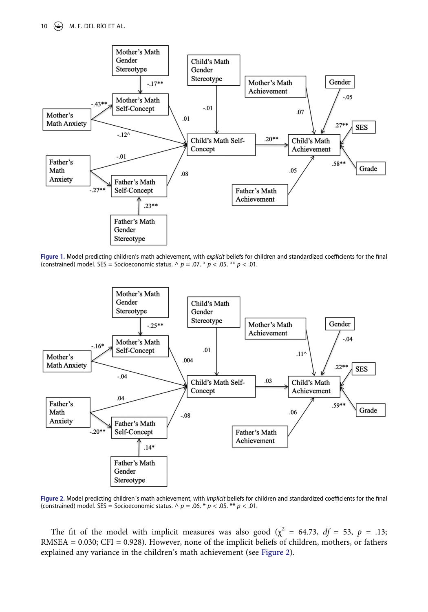<span id="page-9-0"></span>

**Figure 1.** Model predicting children's math achievement, with *explicit* beliefs for children and standardized coefficients for the final (constrained) model. SES = Socioeconomic status.  $\land p = .07. * p < .05. * p < .01.$ 

<span id="page-9-1"></span>

**Figure 2.** Model predicting children´s math achievement, with *implicit* beliefs for children and standardized coefficients for the final (constrained) model. SES = Socioeconomic status.  $\land p = .06. * p < .05. * p < .01$ .

The fit of the model with implicit measures was also good ( $\chi^2$  = 64.73, *df* = 53, *p* = .13; RMSEA = 0.030; CFI = 0.928). However, none of the implicit beliefs of children, mothers, or fathers explained any variance in the children's math achievement (see [Figure 2](#page-9-1)).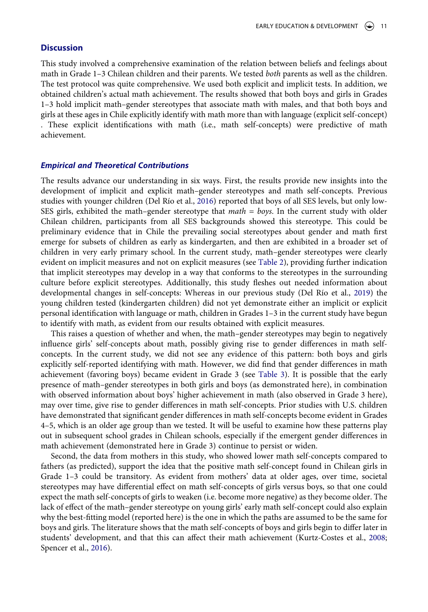## **Discussion**

This study involved a comprehensive examination of the relation between beliefs and feelings about math in Grade 1–3 Chilean children and their parents. We tested *both* parents as well as the children. The test protocol was quite comprehensive. We used both explicit and implicit tests. In addition, we obtained children's actual math achievement. The results showed that both boys and girls in Grades 1–3 hold implicit math–gender stereotypes that associate math with males, and that both boys and girls at these ages in Chile explicitly identify with math more than with language (explicit self-concept) . These explicit identifications with math (i.e., math self-concepts) were predictive of math achievement.

#### *Empirical and Theoretical Contributions*

The results advance our understanding in six ways. First, the results provide new insights into the development of implicit and explicit math–gender stereotypes and math self-concepts. Previous studies with younger children (Del Río et al., [2016](#page-13-7)) reported that boys of all SES levels, but only low-SES girls, exhibited the math–gender stereotype that *math = boys*. In the current study with older Chilean children, participants from all SES backgrounds showed this stereotype. This could be preliminary evidence that in Chile the prevailing social stereotypes about gender and math first emerge for subsets of children as early as kindergarten, and then are exhibited in a broader set of children in very early primary school. In the current study, math–gender stereotypes were clearly evident on implicit measures and not on explicit measures (see [Table 2\)](#page-6-0), providing further indication that implicit stereotypes may develop in a way that conforms to the stereotypes in the surrounding culture before explicit stereotypes. Additionally, this study fleshes out needed information about developmental changes in self-concepts: Whereas in our previous study (Del Río et al., [2019](#page-13-1)) the young children tested (kindergarten children) did not yet demonstrate either an implicit or explicit personal identification with language or math, children in Grades 1–3 in the current study have begun to identify with math, as evident from our results obtained with explicit measures.

This raises a question of whether and when, the math–gender stereotypes may begin to negatively influence girls' self-concepts about math, possibly giving rise to gender differences in math selfconcepts. In the current study, we did not see any evidence of this pattern: both boys and girls explicitly self-reported identifying with math. However, we did find that gender differences in math achievement (favoring boys) became evident in Grade 3 (see [Table 3](#page-6-1)). It is possible that the early presence of math–gender stereotypes in both girls and boys (as demonstrated here), in combination with observed information about boys' higher achievement in math (also observed in Grade 3 here), may over time, give rise to gender differences in math self-concepts. Prior studies with U.S. children have demonstrated that significant gender differences in math self-concepts become evident in Grades 4–5, which is an older age group than we tested. It will be useful to examine how these patterns play out in subsequent school grades in Chilean schools, especially if the emergent gender differences in math achievement (demonstrated here in Grade 3) continue to persist or widen.

<span id="page-10-1"></span><span id="page-10-0"></span>Second, the data from mothers in this study, who showed lower math self-concepts compared to fathers (as predicted), support the idea that the positive math self-concept found in Chilean girls in Grade 1–3 could be transitory. As evident from mothers' data at older ages, over time, societal stereotypes may have differential effect on math self-concepts of girls versus boys, so that one could expect the math self-concepts of girls to weaken (i.e. become more negative) as they become older. The lack of effect of the math–gender stereotype on young girls' early math self-concept could also explain why the best-fitting model (reported here) is the one in which the paths are assumed to be the same for boys and girls. The literature shows that the math self-concepts of boys and girls begin to differ later in students' development, and that this can affect their math achievement (Kurtz-Costes et al., [2008;](#page-14-20) Spencer et al., [2016](#page-15-5)).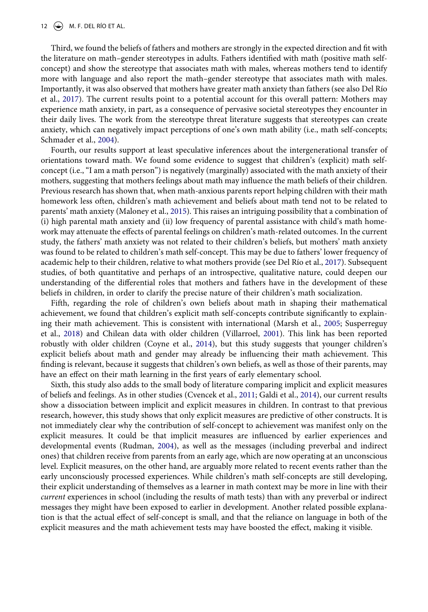#### 12  $\leftrightarrow$  M. F. DEL RÍO ET AL.

Third, we found the beliefs of fathers and mothers are strongly in the expected direction and fit with the literature on math–gender stereotypes in adults. Fathers identified with math (positive math selfconcept) and show the stereotype that associates math with males, whereas mothers tend to identify more with language and also report the math–gender stereotype that associates math with males. Importantly, it was also observed that mothers have greater math anxiety than fathers (see also Del Río et al., [2017\)](#page-13-11). The current results point to a potential account for this overall pattern: Mothers may experience math anxiety, in part, as a consequence of pervasive societal stereotypes they encounter in their daily lives. The work from the stereotype threat literature suggests that stereotypes can create anxiety, which can negatively impact perceptions of one's own math ability (i.e., math self-concepts; Schmader et al., [2004\)](#page-14-21).

<span id="page-11-2"></span>Fourth, our results support at least speculative inferences about the intergenerational transfer of orientations toward math. We found some evidence to suggest that children's (explicit) math selfconcept (i.e., "I am a math person") is negatively (marginally) associated with the math anxiety of their mothers, suggesting that mothers feelings about math may influence the math beliefs of their children. Previous research has shown that, when math-anxious parents report helping children with their math homework less often, children's math achievement and beliefs about math tend not to be related to parents' math anxiety (Maloney et al., [2015\)](#page-14-12). This raises an intriguing possibility that a combination of (i) high parental math anxiety and (ii) low frequency of parental assistance with child's math homework may attenuate the effects of parental feelings on children's math-related outcomes. In the current study, the fathers' math anxiety was not related to their children's beliefs, but mothers' math anxiety was found to be related to children's math self-concept. This may be due to fathers' lower frequency of academic help to their children, relative to what mothers provide (see Del Río et al., [2017\)](#page-13-11). Subsequent studies, of both quantitative and perhaps of an introspective, qualitative nature, could deepen our understanding of the differential roles that mothers and fathers have in the development of these beliefs in children, in order to clarify the precise nature of their children's math socialization.

<span id="page-11-3"></span><span id="page-11-0"></span>Fifth, regarding the role of children's own beliefs about math in shaping their mathematical achievement, we found that children's explicit math self-concepts contribute significantly to explaining their math achievement. This is consistent with international (Marsh et al., [2005;](#page-14-13) Susperreguy et al., [2018](#page-15-2)) and Chilean data with older children (Villarroel, [2001](#page-15-6)). This link has been reported robustly with older children (Coyne et al., [2014\)](#page-13-16), but this study suggests that younger children's explicit beliefs about math and gender may already be influencing their math achievement. This finding is relevant, because it suggests that children's own beliefs, as well as those of their parents, may have an effect on their math learning in the first years of early elementary school.

<span id="page-11-1"></span>Sixth, this study also adds to the small body of literature comparing implicit and explicit measures of beliefs and feelings. As in other studies (Cvencek et al., [2011;](#page-13-2) Galdi et al., [2014\)](#page-13-6), our current results show a dissociation between implicit and explicit measures in children. In contrast to that previous research, however, this study shows that only explicit measures are predictive of other constructs. It is not immediately clear why the contribution of self-concept to achievement was manifest only on the explicit measures. It could be that implicit measures are influenced by earlier experiences and developmental events (Rudman, [2004\)](#page-14-22), as well as the messages (including preverbal and indirect ones) that children receive from parents from an early age, which are now operating at an unconscious level. Explicit measures, on the other hand, are arguably more related to recent events rather than the early unconsciously processed experiences. While children's math self-concepts are still developing, their explicit understanding of themselves as a learner in math context may be more in line with their *current* experiences in school (including the results of math tests) than with any preverbal or indirect messages they might have been exposed to earlier in development. Another related possible explanation is that the actual effect of self-concept is small, and that the reliance on language in both of the explicit measures and the math achievement tests may have boosted the effect, making it visible.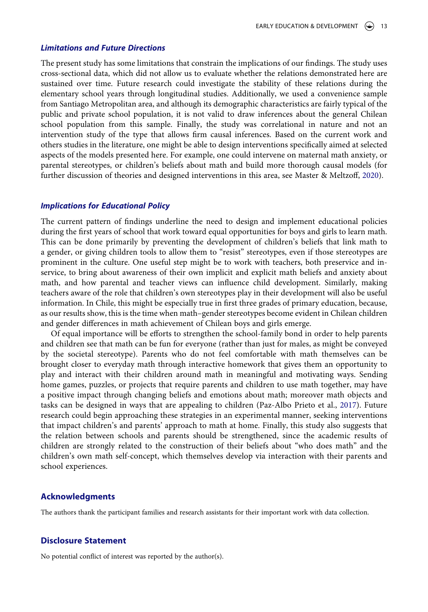#### *Limitations and Future Directions*

The present study has some limitations that constrain the implications of our findings. The study uses cross-sectional data, which did not allow us to evaluate whether the relations demonstrated here are sustained over time. Future research could investigate the stability of these relations during the elementary school years through longitudinal studies. Additionally, we used a convenience sample from Santiago Metropolitan area, and although its demographic characteristics are fairly typical of the public and private school population, it is not valid to draw inferences about the general Chilean school population from this sample. Finally, the study was correlational in nature and not an intervention study of the type that allows firm causal inferences. Based on the current work and others studies in the literature, one might be able to design interventions specifically aimed at selected aspects of the models presented here. For example, one could intervene on maternal math anxiety, or parental stereotypes, or children's beliefs about math and build more thorough causal models (for further discussion of theories and designed interventions in this area, see Master & Meltzoff, [2020\)](#page-14-6).

#### *Implications for Educational Policy*

The current pattern of findings underline the need to design and implement educational policies during the first years of school that work toward equal opportunities for boys and girls to learn math. This can be done primarily by preventing the development of children's beliefs that link math to a gender, or giving children tools to allow them to "resist" stereotypes, even if those stereotypes are prominent in the culture. One useful step might be to work with teachers, both preservice and inservice, to bring about awareness of their own implicit and explicit math beliefs and anxiety about math, and how parental and teacher views can influence child development. Similarly, making teachers aware of the role that children's own stereotypes play in their development will also be useful information. In Chile, this might be especially true in first three grades of primary education, because, as our results show, this is the time when math–gender stereotypes become evident in Chilean children and gender differences in math achievement of Chilean boys and girls emerge.

<span id="page-12-0"></span>Of equal importance will be efforts to strengthen the school-family bond in order to help parents and children see that math can be fun for everyone (rather than just for males, as might be conveyed by the societal stereotype). Parents who do not feel comfortable with math themselves can be brought closer to everyday math through interactive homework that gives them an opportunity to play and interact with their children around math in meaningful and motivating ways. Sending home games, puzzles, or projects that require parents and children to use math together, may have a positive impact through changing beliefs and emotions about math; moreover math objects and tasks can be designed in ways that are appealing to children (Paz-Albo Prieto et al., [2017\)](#page-14-23). Future research could begin approaching these strategies in an experimental manner, seeking interventions that impact children's and parents' approach to math at home. Finally, this study also suggests that the relation between schools and parents should be strengthened, since the academic results of children are strongly related to the construction of their beliefs about "who does math" and the children's own math self-concept, which themselves develop via interaction with their parents and school experiences.

#### **Acknowledgments**

The authors thank the participant families and research assistants for their important work with data collection.

#### **Disclosure Statement**

No potential conflict of interest was reported by the author(s).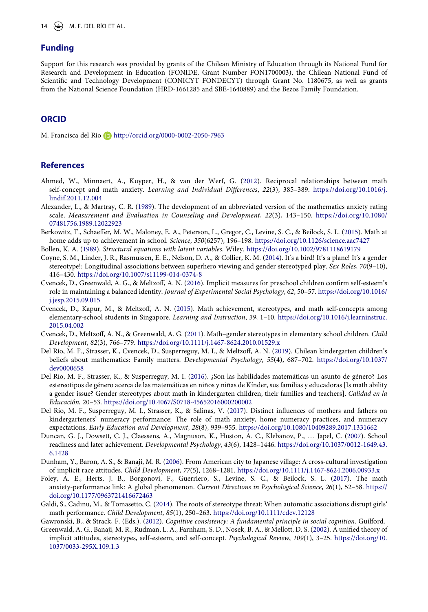## **Funding**

Support for this research was provided by grants of the Chilean Ministry of Education through its National Fund for Research and Development in Education (FONIDE, Grant Number FON1700003), the Chilean National Fund of Scientific and Technology Development (CONICYT FONDECYT) through Grant No. 1180675, as well as grants from the National Science Foundation (HRD-1661285 and SBE-1640889) and the Bezos Family Foundation.

## **ORCID**

M. Francisca del Río http://orcid.org/0000-0002-2050-7963

## **References**

- <span id="page-13-10"></span>Ahmed, W., Minnaert, A., Kuyper, H., & van der Werf, G. [\(2012\)](#page-2-0). Reciprocal relationships between math self-concept and math anxiety. *Learning and Individual Differences*, *22*(3), 385–389. [https://doi.org/10.1016/j.](https://doi.org/10.1016/j.lindif.2011.12.004) [lindif.2011.12.004](https://doi.org/10.1016/j.lindif.2011.12.004)
- <span id="page-13-14"></span>Alexander, L., & Martray, C. R. [\(1989\)](#page-5-0). The development of an abbreviated version of the mathematics anxiety rating scale. *Measurement and Evaluation in Counseling and Development*, *22*(3), 143–150. [https://doi.org/10.1080/](https://doi.org/10.1080/07481756.1989.12022923) [07481756.1989.12022923](https://doi.org/10.1080/07481756.1989.12022923)
- <span id="page-13-8"></span>Berkowitz, T., Schaeffer, M. W., Maloney, E. A., Peterson, L., Gregor, C., Levine, S. C., & Beilock, S. L. [\(2015\)](#page-2-1). Math at home adds up to achievement in school. *Science*, *350*(6257), 196–198. <https://doi.org/10.1126/science.aac7427>
- <span id="page-13-15"></span>Bollen, K. A. [\(1989\)](#page-7-0). *Structural equations with latent variables*. Wiley. <https://doi.org/10.1002/9781118619179>
- <span id="page-13-16"></span>Coyne, S. M., Linder, J. R., Rasmussen, E. E., Nelson, D. A., & Collier, K. M. [\(2014\)](#page-11-0). It's a bird! It's a plane! It's a gender stereotype!: Longitudinal associations between superhero viewing and gender stereotyped play. *Sex Roles*, *70*(9–10), 416–430. <https://doi.org/10.1007/s11199-014-0374-8>
- <span id="page-13-12"></span>Cvencek, D., Greenwald, A. G., & Meltzoff, A. N. ([2016](#page-4-0)). Implicit measures for preschool children confirm self-esteem's role in maintaining a balanced identity. *Journal of Experimental Social Psychology*, *62*, 50–57. [https://doi.org/10.1016/](https://doi.org/10.1016/j.jesp.2015.09.015)  [j.jesp.2015.09.015](https://doi.org/10.1016/j.jesp.2015.09.015)
- <span id="page-13-5"></span>Cvencek, D., Kapur, M., & Meltzoff, A. N. ([2015](#page-1-0)). Math achievement, stereotypes, and math self-concepts among elementary-school students in Singapore. *Learning and Instruction*, *39*, 1–10. [https://doi.org/10.1016/j.learninstruc.](https://doi.org/10.1016/j.learninstruc.2015.04.002) [2015.04.002](https://doi.org/10.1016/j.learninstruc.2015.04.002)
- <span id="page-13-2"></span>Cvencek, D., Meltzoff, A. N., & Greenwald, A. G. [\(2011\)](#page-1-1). Math–gender stereotypes in elementary school children. *Child Development*, *82*(3), 766–779. <https://doi.org/10.1111/j.1467-8624.2010.01529.x>
- <span id="page-13-1"></span>Del Río, M. F., Strasser, K., Cvencek, D., Susperreguy, M. I., & Meltzoff, A. N. [\(2019\)](#page-0-2). Chilean kindergarten children's beliefs about mathematics: Family matters. *Developmental Psychology*, *55*(4), 687–702. [https://doi.org/10.1037/](https://doi.org/10.1037/dev0000658) [dev0000658](https://doi.org/10.1037/dev0000658)
- <span id="page-13-7"></span>Del Río, M. F., Strasser, K., & Susperreguy, M. I. ([2016\)](#page-2-2). ¿Son las habilidades matemáticas un asunto de género? Los estereotipos de género acerca de las matemáticas en niños y niñas de Kínder, sus familias y educadoras [Is math ability a gender issue? Gender stereotypes about math in kindergarten children, their families and teachers]. *Calidad en la Educación*, 20–53.<https://doi.org/10.4067/S0718-45652016000200002>
- <span id="page-13-11"></span>Del Río, M. F., Susperreguy, M. I., Strasser, K., & Salinas, V. [\(2017\)](#page-2-3). Distinct influences of mothers and fathers on kindergarteners' numeracy performance: The role of math anxiety, home numeracy practices, and numeracy expectations. *Early Education and Development*, *28*(8), 939–955. <https://doi.org/10.1080/10409289.2017.1331662>
- <span id="page-13-0"></span>Duncan, G. J., Dowsett, C. J., Claessens, A., Magnuson, K., Huston, A. C., Klebanov, P., . . . Japel, C. ([2007](#page-0-3)). School readiness and later achievement. *Developmental Psychology*, *43*(6), 1428–1446. [https://doi.org/10.1037/0012-1649.43.](https://doi.org/10.1037/0012-1649.43.6.1428) [6.1428](https://doi.org/10.1037/0012-1649.43.6.1428)
- <span id="page-13-13"></span>Dunham, Y., Baron, A. S., & Banaji, M. R. [\(2006](#page-5-1)). From American city to Japanese village: A cross-cultural investigation of implicit race attitudes. *Child Development*, *77*(5), 1268–1281. <https://doi.org/10.1111/j.1467-8624.2006.00933.x>
- <span id="page-13-9"></span>Foley, A. E., Herts, J. B., Borgonovi, F., Guerriero, S., Levine, S. C., & Beilock, S. L. [\(2017\)](#page-2-4). The math anxiety-performance link: A global phenomenon. *Current Directions in Psychological Science*, *26*(1), 52–58. [https://](https://doi.org/10.1177/0963721416672463) [doi.org/10.1177/0963721416672463](https://doi.org/10.1177/0963721416672463)
- <span id="page-13-6"></span>Galdi, S., Cadinu, M., & Tomasetto, C. ([2014\)](#page-1-2). The roots of stereotype threat: When automatic associations disrupt girls' math performance. *Child Development*, *85*(1), 250–263. <https://doi.org/10.1111/cdev.12128>
- <span id="page-13-3"></span>Gawronski, B., & Strack, F. (Eds.). [\(2012\)](#page-1-3). *Cognitive consistency: A fundamental principle in social cognition*. Guilford.
- <span id="page-13-4"></span>Greenwald, A. G., Banaji, M. R., Rudman, L. A., Farnham, S. D., Nosek, B. A., & Mellott, D. S. ([2002\)](#page-1-4). A unified theory of implicit attitudes, stereotypes, self-esteem, and self-concept. *Psychological Review*, *109*(1), 3–25. [https://doi.org/10.](https://doi.org/10.1037/0033-295X.109.1.3) [1037/0033-295X.109.1.3](https://doi.org/10.1037/0033-295X.109.1.3)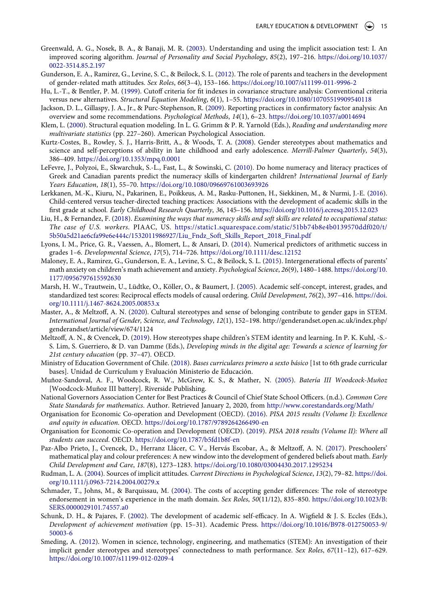- <span id="page-14-15"></span>Greenwald, A. G., Nosek, B. A., & Banaji, M. R. [\(2003\)](#page-5-2). Understanding and using the implicit association test: I. An improved scoring algorithm. *Journal of Personality and Social Psychology*, *85*(2), 197–216. [https://doi.org/10.1037/](https://doi.org/10.1037/0022-3514.85.2.197)  [0022-3514.85.2.197](https://doi.org/10.1037/0022-3514.85.2.197)
- <span id="page-14-8"></span>Gunderson, E. A., Ramirez, G., Levine, S. C., & Beilock, S. L. [\(2012\)](#page-1-5). The role of parents and teachers in the development of gender-related math attitudes. *Sex Roles*, *66*(3–4), 153–166. <https://doi.org/10.1007/s11199-011-9996-2>
- <span id="page-14-18"></span>Hu, L.-T., & Bentler, P. M. ([1999](#page-7-1)). Cutoff criteria for fit indexes in covariance structure analysis: Conventional criteria versus new alternatives. *Structural Equation Modeling*, *6*(1), 1–55. <https://doi.org/10.1080/10705519909540118>
- <span id="page-14-19"></span>Jackson, D. L., Gillaspy, J. A., Jr., & Purc-Stephenson, R. ([2009](#page-7-2)). Reporting practices in confirmatory factor analysis: An overview and some recommendations. *Psychological Methods*, *14*(1), 6–23. <https://doi.org/10.1037/a0014694>
- <span id="page-14-17"></span>Klem, L. ([2000](#page-7-3)). Structural equation modeling. In L. G. Grimm & P. R. Yarnold (Eds.), *Reading and understanding more multivariate statistics* (pp. 227–260). American Psychological Association.
- <span id="page-14-20"></span>Kurtz-Costes, B., Rowley, S. J., Harris-Britt, A., & Woods, T. A. ([2008](#page-10-0)). Gender stereotypes about mathematics and science and self-perceptions of ability in late childhood and early adolescence. *Merrill-Palmer Quarterly*, *54*(3), 386–409. <https://doi.org/10.1353/mpq.0.0001>
- <span id="page-14-2"></span>LeFevre, J., Polyzoi, E., Skwarchuk, S.-L., Fast, L., & Sowinski, C. [\(2010](#page-0-4)). Do home numeracy and literacy practices of Greek and Canadian parents predict the numeracy skills of kindergarten children? *International Journal of Early Years Education*, *18*(1), 55–70. <https://doi.org/10.1080/09669761003693926>
- <span id="page-14-7"></span>Lerkkanen, M.-K., Kiuru, N., Pakarinen, E., Poikkeus, A. M., Rasku-Puttonen, H., Siekkinen, M., & Nurmi, J.-E. [\(2016](#page-1-6)). Child-centered versus teacher-directed teaching practices: Associations with the development of academic skills in the first grade at school. *Early Childhood Research Quarterly*, *36*, 145–156. <https://doi.org/10.1016/j.ecresq.2015.12.023>
- <span id="page-14-1"></span>Liu, H., & Fernandez, F. ([2018\)](#page-0-5). *Examining the ways that numeracy skills and soft skills are related to occupational status: The case of U.S. workers*. PIAAC, US. [https://static1.squarespace.com/static/51bb74b8e4b0139570ddf020/t/](https://static1.squarespace.com/static/51bb74b8e4b0139570ddf020/t/5b50a5d21ae6cfa99e6e444c/1532011986927/Liu_Fndz_Soft_Skills_Report_2018_Final.pdf) [5b50a5d21ae6cfa99e6e444c/1532011986927/Liu\\_Fndz\\_Soft\\_Skills\\_Report\\_2018\\_Final.pdf](https://static1.squarespace.com/static/51bb74b8e4b0139570ddf020/t/5b50a5d21ae6cfa99e6e444c/1532011986927/Liu_Fndz_Soft_Skills_Report_2018_Final.pdf)
- <span id="page-14-0"></span>Lyons, I. M., Price, G. R., Vaessen, A., Blomert, L., & Ansari, D. [\(2014](#page-0-6)). Numerical predictors of arithmetic success in grades 1–6. *Developmental Science*, *17*(5), 714–726. <https://doi.org/10.1111/desc.12152>
- <span id="page-14-12"></span>Maloney, E. A., Ramirez, G., Gunderson, E. A., Levine, S. C., & Beilock, S. L. [\(2015](#page-2-5)). Intergenerational effects of parents' math anxiety on children's math achievement and anxiety. *Psychological Science*, *26*(9), 1480–1488. [https://doi.org/10.](https://doi.org/10.1177/0956797615592630) [1177/0956797615592630](https://doi.org/10.1177/0956797615592630)
- <span id="page-14-13"></span>Marsh, H. W., Trautwein, U., Lüdtke, O., Köller, O., & Baumert, J. ([2005](#page-3-1)). Academic self-concept, interest, grades, and standardized test scores: Reciprocal effects models of causal ordering. *Child Development*, *76*(2), 397–416. [https://doi.](https://doi.org/10.1111/j.1467-8624.2005.00853.x) [org/10.1111/j.1467-8624.2005.00853.x](https://doi.org/10.1111/j.1467-8624.2005.00853.x)
- <span id="page-14-6"></span>Master, A., & Meltzoff, A. N. [\(2020\)](#page-0-7). Cultural stereotypes and sense of belonging contribute to gender gaps in STEM. *International Journal of Gender, Science, and Technology*, *12*(1), 152–198. http://genderandset.open.ac.uk/index.php/ genderandset/article/view/674/1124
- <span id="page-14-9"></span>Meltzoff, A. N., & Cvencek, D. [\(2019](#page-1-1)). How stereotypes shape children's STEM identity and learning. In P. K. Kuhl, -S.- S. Lim, S. Guerriero, & D. van Damme (Eds.), *Developing minds in the digital age: Towards a science of learning for 21st century education* (pp. 37–47). OECD.
- <span id="page-14-11"></span>Ministry of Education Government of Chile. [\(2018](#page-2-6)). *Bases curriculares primero a sexto básico* [1st to 6th grade curricular bases]. Unidad de Currículum y Evaluación Ministerio de Educación.
- <span id="page-14-16"></span>Muñoz-Sandoval, A. F., Woodcock, R. W., McGrew, K. S., & Mather, N. ([2005](#page-5-3)). *Batería III Woodcock-Muñoz*  [Woodcock-Muñoz III battery]. Riverside Publishing.
- <span id="page-14-10"></span>National Governors Association Center for Best Practices & Council of Chief State School Officers. (n.d.). *Common Core State Standards for mathematics*. Author. Retrieved January 2, 2020, from <http://www.corestandards.org/Math/>
- <span id="page-14-4"></span>Organisation for Economic Co-operation and Development (OECD). ([2016](#page-0-8)). *PISA 2015 results (Volume I): Excellence and equity in education*. OECD. <https://doi.org/10.1787/9789264266490-en>
- <span id="page-14-3"></span>Organisation for Economic Co-operation and Development (OECD). ([2019](#page-0-9)). *PISA 2018 results (Volume II): Where all students can succeed*. OECD. <https://doi.org/10.1787/b5fd1b8f-en>
- <span id="page-14-23"></span>Paz-Albo Prieto, J., Cvencek, D., Herranz Llácer, C. V., Hervás Escobar, A., & Meltzoff, A. N. [\(2017\)](#page-12-0). Preschoolers' mathematical play and colour preferences: A new window into the development of gendered beliefs about math. *Early Child Development and Care*, *187*(8), 1273–1283. <https://doi.org/10.1080/03004430.2017.1295234>
- <span id="page-14-22"></span>Rudman, L. A. [\(2004\)](#page-11-1). Sources of implicit attitudes. *Current Directions in Psychological Science*, *13*(2), 79–82. [https://doi.](https://doi.org/10.1111/j.0963-7214.2004.00279.x) [org/10.1111/j.0963-7214.2004.00279.x](https://doi.org/10.1111/j.0963-7214.2004.00279.x)
- <span id="page-14-21"></span>Schmader, T., Johns, M., & Barquissau, M. ([2004](#page-11-2)). The costs of accepting gender differences: The role of stereotype endorsement in women's experience in the math domain. *Sex Roles*, *50*(11/12), 835–850. [https://doi.org/10.1023/B:](https://doi.org/10.1023/B:SERS.0000029101.74557.a0)  [SERS.0000029101.74557.a0](https://doi.org/10.1023/B:SERS.0000029101.74557.a0)
- <span id="page-14-14"></span>Schunk, D. H., & Pajares, F. ([2002\)](#page-3-2). The development of academic self-efficacy. In A. Wigfield & J. S. Eccles (Eds.), *Development of achievement motivation* (pp. 15–31). Academic Press. [https://doi.org/10.1016/B978-012750053-9/](https://doi.org/10.1016/B978-012750053-9/50003-6)  [50003-6](https://doi.org/10.1016/B978-012750053-9/50003-6)
- <span id="page-14-5"></span>Smeding, A. [\(2012](#page-0-10)). Women in science, technology, engineering, and mathematics (STEM): An investigation of their implicit gender stereotypes and stereotypes' connectedness to math performance. *Sex Roles*, *67*(11–12), 617–629. <https://doi.org/10.1007/s11199-012-0209-4>